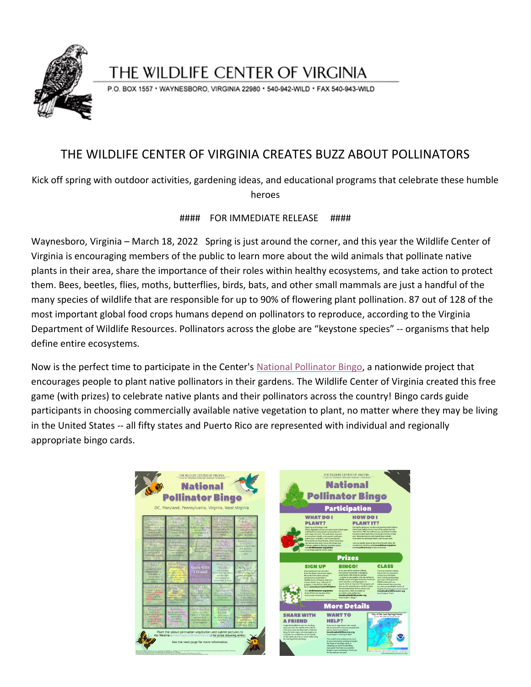

## THE WILDLIFE CENTER OF VIRGINIA

P.O. BOX 1557 · WAYNESBORO, VIRGINIA 22980 · 540-942-WILD · FAX 540-943-WILD

## THE WILDLIFE CENTER OF VIRGINIA CREATES BUZZ ABOUT POLLINATORS

Kick off spring with outdoor activities, gardening ideas, and educational programs that celebrate these humble heroes

## #### FOR IMMEDIATE RELEASE ####

Waynesboro, Virginia – March 18, 2022 Spring is just around the corner, and this year the Wildlife Center of Virginia is encouraging members of the public to learn more about the wild animals that pollinate native plants in their area, share the importance of their roles within healthy ecosystems, and take action to protect them. Bees, beetles, flies, moths, butterflies, birds, bats, and other small mammals are just a handful of the many species of wildlife that are responsible for up to 90% of flowering plant pollination. 87 out of 128 of the most important global food crops humans depend on pollinators to reproduce, according to the Virginia Department of Wildlife Resources. Pollinators across the globe are "keystone species" -- organisms that help define entire ecosystems.

Now is the perfect time to participate in the Center's [National Pollinator Bingo,](https://www.wildlifecenter.org/pollen) a nationwide project that encourages people to plant native pollinators in their gardens. The Wildlife Center of Virginia created this free game (with prizes) to celebrate native plants and their pollinators across the country! Bingo cards guide participants in choosing commercially available native vegetation to plant, no matter where they may be living in the United States -- all fifty states and Puerto Rico are represented with individual and regionally appropriate bingo cards.